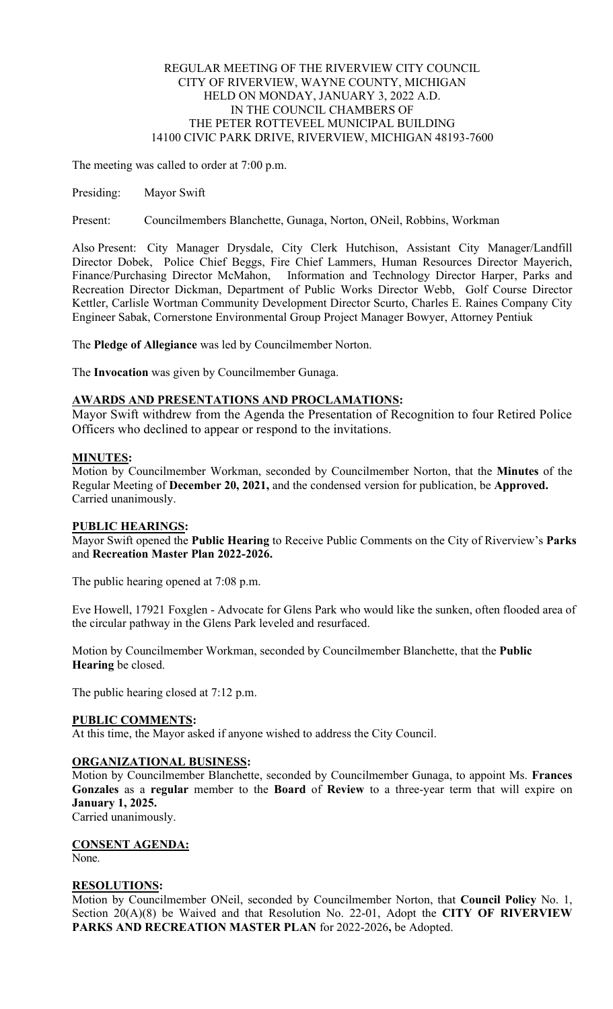## REGULAR MEETING OF THE RIVERVIEW CITY COUNCIL CITY OF RIVERVIEW, WAYNE COUNTY, MICHIGAN HELD ON MONDAY, JANUARY 3, 2022 A.D. IN THE COUNCIL CHAMBERS OF THE PETER ROTTEVEEL MUNICIPAL BUILDING 14100 CIVIC PARK DRIVE, RIVERVIEW, MICHIGAN 48193-7600

The meeting was called to order at 7:00 p.m.

Presiding: Mayor Swift

Present: Councilmembers Blanchette, Gunaga, Norton, ONeil, Robbins, Workman

Also Present: City Manager Drysdale, City Clerk Hutchison, Assistant City Manager/Landfill Director Dobek, Police Chief Beggs, Fire Chief Lammers, Human Resources Director Mayerich, Finance/Purchasing Director McMahon, Information and Technology Director Harper, Parks and Recreation Director Dickman, Department of Public Works Director Webb, Golf Course Director Kettler, Carlisle Wortman Community Development Director Scurto, Charles E. Raines Company City Engineer Sabak, Cornerstone Environmental Group Project Manager Bowyer, Attorney Pentiuk

The **Pledge of Allegiance** was led by Councilmember Norton.

The **Invocation** was given by Councilmember Gunaga.

### **AWARDS AND PRESENTATIONS AND PROCLAMATIONS:**

Mayor Swift withdrew from the Agenda the Presentation of Recognition to four Retired Police Officers who declined to appear or respond to the invitations.

### **MINUTES:**

Motion by Councilmember Workman, seconded by Councilmember Norton, that the **Minutes** of the Regular Meeting of **December 20, 2021,** and the condensed version for publication, be **Approved.**  Carried unanimously.

## **PUBLIC HEARINGS:**

Mayor Swift opened the **Public Hearing** to Receive Public Comments on the City of Riverview's **Parks**  and **Recreation Master Plan 2022-2026.**

The public hearing opened at 7:08 p.m.

Eve Howell, 17921 Foxglen - Advocate for Glens Park who would like the sunken, often flooded area of the circular pathway in the Glens Park leveled and resurfaced.

Motion by Councilmember Workman, seconded by Councilmember Blanchette, that the **Public Hearing** be closed.

The public hearing closed at 7:12 p.m.

#### **PUBLIC COMMENTS:**

At this time, the Mayor asked if anyone wished to address the City Council.

## **ORGANIZATIONAL BUSINESS:**

Motion by Councilmember Blanchette, seconded by Councilmember Gunaga, to appoint Ms. **Frances Gonzales** as a **regular** member to the **Board** of **Review** to a three-year term that will expire on **January 1, 2025.** 

Carried unanimously.

**CONSENT AGENDA:** 

None.

#### **RESOLUTIONS:**

Motion by Councilmember ONeil, seconded by Councilmember Norton, that **Council Policy** No. 1, Section 20(A)(8) be Waived and that Resolution No. 22-01, Adopt the **CITY OF RIVERVIEW PARKS AND RECREATION MASTER PLAN** for 2022-2026**,** be Adopted.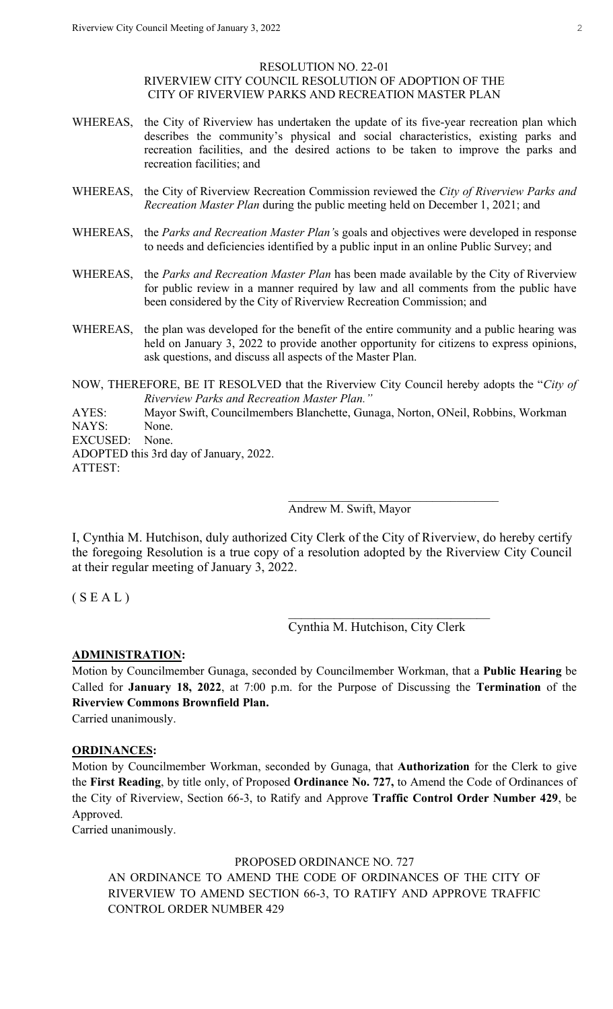#### RESOLUTION NO. 22-01 RIVERVIEW CITY COUNCIL RESOLUTION OF ADOPTION OF THE CITY OF RIVERVIEW PARKS AND RECREATION MASTER PLAN

- WHEREAS, the City of Riverview has undertaken the update of its five-year recreation plan which describes the community's physical and social characteristics, existing parks and recreation facilities, and the desired actions to be taken to improve the parks and recreation facilities; and
- WHEREAS, the City of Riverview Recreation Commission reviewed the *City of Riverview Parks and Recreation Master Plan* during the public meeting held on December 1, 2021; and
- WHEREAS, the *Parks and Recreation Master Plan'*s goals and objectives were developed in response to needs and deficiencies identified by a public input in an online Public Survey; and
- WHEREAS, the *Parks and Recreation Master Plan* has been made available by the City of Riverview for public review in a manner required by law and all comments from the public have been considered by the City of Riverview Recreation Commission; and
- WHEREAS, the plan was developed for the benefit of the entire community and a public hearing was held on January 3, 2022 to provide another opportunity for citizens to express opinions, ask questions, and discuss all aspects of the Master Plan.
- NOW, THEREFORE, BE IT RESOLVED that the Riverview City Council hereby adopts the "*City of Riverview Parks and Recreation Master Plan."*

AYES: Mayor Swift, Councilmembers Blanchette, Gunaga, Norton, ONeil, Robbins, Workman NAYS: None. EXCUSED: None.

 $\mathcal{L}_\text{max}$  and  $\mathcal{L}_\text{max}$  and  $\mathcal{L}_\text{max}$  are the contract of the contract of the contract of the contract of the contract of the contract of the contract of the contract of the contract of the contract of the con

 $\overline{\phantom{a}}$  , and the contract of the contract of the contract of the contract of the contract of the contract of the contract of the contract of the contract of the contract of the contract of the contract of the contrac

ADOPTED this 3rd day of January, 2022. ATTEST:

Andrew M. Swift, Mayor

I, Cynthia M. Hutchison, duly authorized City Clerk of the City of Riverview, do hereby certify the foregoing Resolution is a true copy of a resolution adopted by the Riverview City Council at their regular meeting of January 3, 2022.

## $(S E A L)$

Cynthia M. Hutchison, City Clerk

## **ADMINISTRATION:**

Motion by Councilmember Gunaga, seconded by Councilmember Workman, that a **Public Hearing** be Called for **January 18, 2022**, at 7:00 p.m. for the Purpose of Discussing the **Termination** of the **Riverview Commons Brownfield Plan.**

Carried unanimously.

#### **ORDINANCES:**

Motion by Councilmember Workman, seconded by Gunaga, that **Authorization** for the Clerk to give the **First Reading**, by title only, of Proposed **Ordinance No. 727,** to Amend the Code of Ordinances of the City of Riverview, Section 66-3, to Ratify and Approve **Traffic Control Order Number 429**, be Approved.

Carried unanimously.

PROPOSED ORDINANCE NO. 727

AN ORDINANCE TO AMEND THE CODE OF ORDINANCES OF THE CITY OF RIVERVIEW TO AMEND SECTION 66-3, TO RATIFY AND APPROVE TRAFFIC CONTROL ORDER NUMBER 429